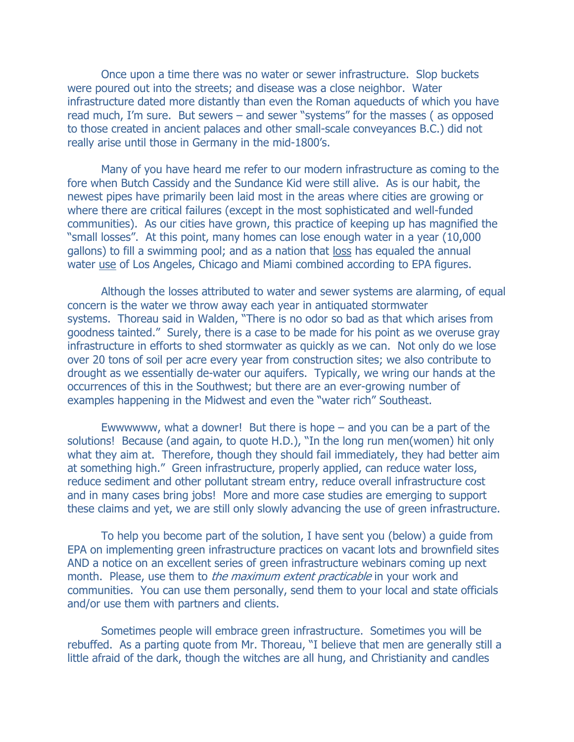Once upon a time there was no water or sewer infrastructure. Slop buckets were poured out into the streets; and disease was a close neighbor. Water infrastructure dated more distantly than even the Roman aqueducts of which you have read much, I'm sure. But sewers – and sewer "systems" for the masses ( as opposed to those created in ancient palaces and other small-scale conveyances B.C.) did not really arise until those in Germany in the mid-1800's.

Many of you have heard me refer to our modern infrastructure as coming to the fore when Butch Cassidy and the Sundance Kid were still alive. As is our habit, the newest pipes have primarily been laid most in the areas where cities are growing or where there are critical failures (except in the most sophisticated and well-funded communities). As our cities have grown, this practice of keeping up has magnified the "small losses". At this point, many homes can lose enough water in a year (10,000 gallons) to fill a swimming pool; and as a nation that loss has equaled the annual water use of Los Angeles, Chicago and Miami combined according to EPA figures.

Although the losses attributed to water and sewer systems are alarming, of equal concern is the water we throw away each year in antiquated stormwater systems. Thoreau said in Walden, "There is no odor so bad as that which arises from goodness tainted." Surely, there is a case to be made for his point as we overuse gray infrastructure in efforts to shed stormwater as quickly as we can. Not only do we lose over 20 tons of soil per acre every year from construction sites; we also contribute to drought as we essentially de-water our aquifers. Typically, we wring our hands at the occurrences of this in the Southwest; but there are an ever-growing number of examples happening in the Midwest and even the "water rich" Southeast.

Ewwwwww, what a downer! But there is hope  $-$  and you can be a part of the solutions! Because (and again, to quote H.D.), "In the long run men(women) hit only what they aim at. Therefore, though they should fail immediately, they had better aim at something high." Green infrastructure, properly applied, can reduce water loss, reduce sediment and other pollutant stream entry, reduce overall infrastructure cost and in many cases bring jobs! More and more case studies are emerging to support these claims and yet, we are still only slowly advancing the use of green infrastructure.

To help you become part of the solution, I have sent you (below) a guide from EPA on implementing green infrastructure practices on vacant lots and brownfield sites AND a notice on an excellent series of green infrastructure webinars coming up next month. Please, use them to *the maximum extent practicable* in your work and communities. You can use them personally, send them to your local and state officials and/or use them with partners and clients.

Sometimes people will embrace green infrastructure. Sometimes you will be rebuffed. As a parting quote from Mr. Thoreau, "I believe that men are generally still a little afraid of the dark, though the witches are all hung, and Christianity and candles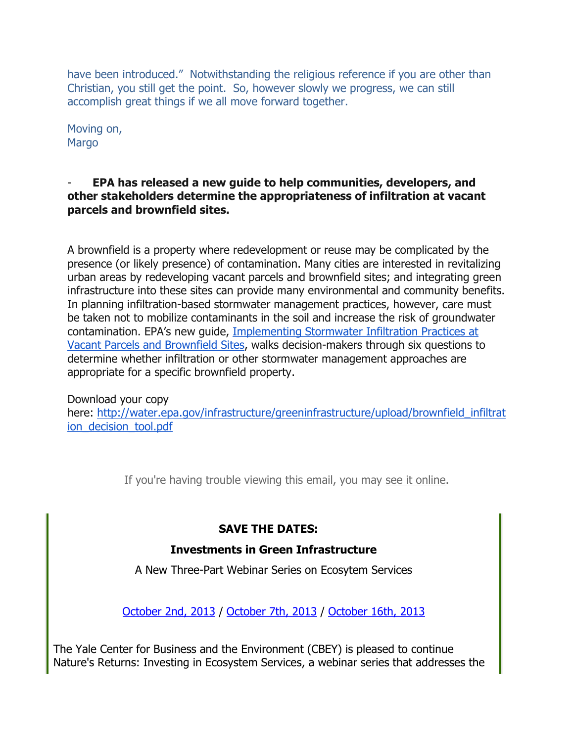have been introduced." Notwithstanding the religious reference if you are other than Christian, you still get the point. So, however slowly we progress, we can still accomplish great things if we all move forward together.

Moving on, **Margo** 

#### EPA has released a new guide to help communities, developers, and other stakeholders determine the appropriateness of infiltration at vacant parcels and brownfield sites.

A brownfield is a property where redevelopment or reuse may be complicated by the presence (or likely presence) of contamination. Many cities are interested in revitalizing urban areas by redeveloping vacant parcels and brownfield sites; and integrating green infrastructure into these sites can provide many environmental and community benefits. In planning infiltration-based stormwater management practices, however, care must be taken not to mobilize contaminants in the soil and increase the risk of groundwater contamination. EPA's new guide, Implementing Stormwater Infiltration Practices at Vacant Parcels and Brownfield Sites, walks decision-makers through six questions to determine whether infiltration or other stormwater management approaches are appropriate for a specific brownfield property.

Download your copy here: http://water.epa.gov/infrastructure/greeninfrastructure/upload/brownfield\_infiltrat ion\_decision\_tool.pdf

If you're having trouble viewing this email, you may see it online.

# SAVE THE DATES:

### Investments in Green Infrastructure

A New Three-Part Webinar Series on Ecosytem Services

October 2nd, 2013 / October 7th, 2013 / October 16th, 2013

The Yale Center for Business and the Environment (CBEY) is pleased to continue Nature's Returns: Investing in Ecosystem Services, a webinar series that addresses the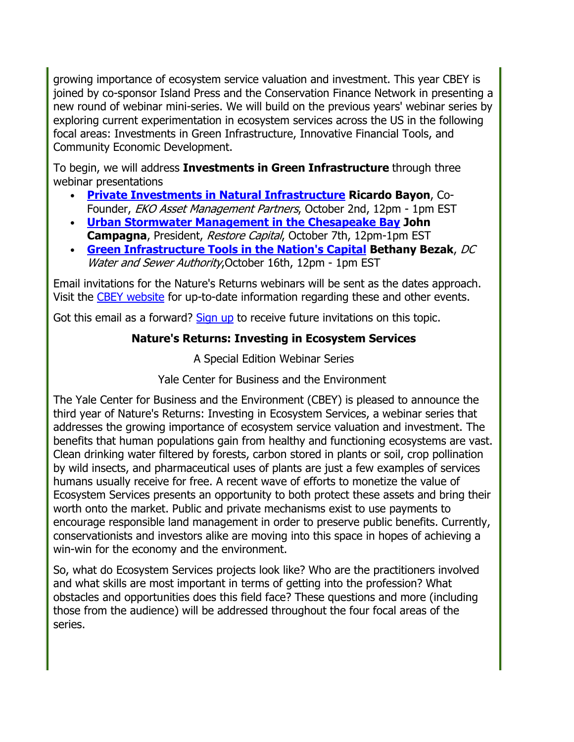growing importance of ecosystem service valuation and investment. This year CBEY is joined by co-sponsor Island Press and the Conservation Finance Network in presenting a new round of webinar mini-series. We will build on the previous years' webinar series by exploring current experimentation in ecosystem services across the US in the following focal areas: Investments in Green Infrastructure, Innovative Financial Tools, and Community Economic Development.

To begin, we will address Investments in Green Infrastructure through three webinar presentations

- Private Investments in Natural Infrastructure Ricardo Bayon, Co-Founder, EKO Asset Management Partners, October 2nd, 12pm - 1pm EST
- Urban Stormwater Management in the Chesapeake Bay John Campagna, President, Restore Capital, October 7th, 12pm-1pm EST
- Green Infrastructure Tools in the Nation's Capital Bethany Bezak, DC Water and Sewer Authority, October 16th, 12pm - 1pm EST

Email invitations for the Nature's Returns webinars will be sent as the dates approach. Visit the CBEY website for up-to-date information regarding these and other events.

Got this email as a forward? Sign up to receive future invitations on this topic.

## Nature's Returns: Investing in Ecosystem Services

A Special Edition Webinar Series

Yale Center for Business and the Environment

The Yale Center for Business and the Environment (CBEY) is pleased to announce the third year of Nature's Returns: Investing in Ecosystem Services, a webinar series that addresses the growing importance of ecosystem service valuation and investment. The benefits that human populations gain from healthy and functioning ecosystems are vast. Clean drinking water filtered by forests, carbon stored in plants or soil, crop pollination by wild insects, and pharmaceutical uses of plants are just a few examples of services humans usually receive for free. A recent wave of efforts to monetize the value of Ecosystem Services presents an opportunity to both protect these assets and bring their worth onto the market. Public and private mechanisms exist to use payments to encourage responsible land management in order to preserve public benefits. Currently, conservationists and investors alike are moving into this space in hopes of achieving a win-win for the economy and the environment.

So, what do Ecosystem Services projects look like? Who are the practitioners involved and what skills are most important in terms of getting into the profession? What obstacles and opportunities does this field face? These questions and more (including those from the audience) will be addressed throughout the four focal areas of the series.